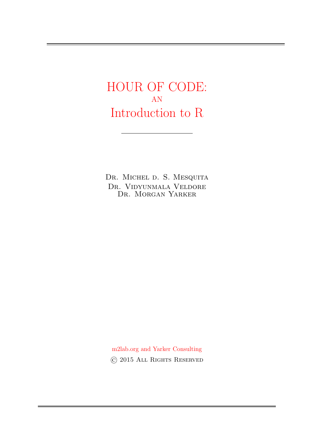HOUR OF CODE: AN Introduction to R

DR. MICHEL D. S. MESQUITA Dr. Vidyunmala Veldore Dr. Morgan Yarker

m2lab.org and Yarker Consulting © 2015 All Rights Reserved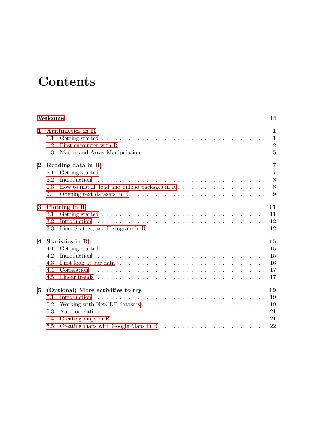# **Contents**

| Welcome         |                                         |                                                                                                        | iii            |
|-----------------|-----------------------------------------|--------------------------------------------------------------------------------------------------------|----------------|
| 1               | Arithmetics in R                        |                                                                                                        |                |
|                 | 1.1                                     |                                                                                                        | 1              |
|                 | 1.2                                     |                                                                                                        | 2              |
|                 | 1.3                                     |                                                                                                        | 5              |
| $\mathbf{2}$    | $\overline{7}$<br>Reading data in R     |                                                                                                        |                |
|                 | 2.1                                     |                                                                                                        | $\overline{7}$ |
|                 | 2.2                                     |                                                                                                        | 8              |
|                 | 2.3                                     |                                                                                                        | 8              |
|                 | 2.4                                     |                                                                                                        | 9              |
| 3               | Plotting in R<br>11                     |                                                                                                        |                |
|                 | 3.1                                     |                                                                                                        | 11             |
|                 | 3.2                                     |                                                                                                        | 12             |
|                 | 3.3                                     | Line, Scatter, and Histogram in R $\ldots \ldots \ldots \ldots \ldots \ldots \ldots \ldots \ldots$     | 12             |
| $\overline{4}$  | Statistics in R<br>15                   |                                                                                                        |                |
|                 | 4.1                                     |                                                                                                        | 15             |
|                 | 4.2                                     |                                                                                                        | 15             |
|                 | 4.3                                     |                                                                                                        | 16             |
|                 | 4.4                                     |                                                                                                        | 17             |
|                 | 4.5                                     |                                                                                                        | 17             |
| $5\overline{ }$ | (Optional) More activities to try<br>19 |                                                                                                        |                |
|                 | 5.1                                     |                                                                                                        | 19             |
|                 | 5.2                                     | Working with NetCDF datasets $\dots \dots \dots \dots \dots \dots \dots \dots \dots \dots \dots \dots$ | 19             |
|                 | 5.3                                     |                                                                                                        | 21             |
|                 | 5.4                                     |                                                                                                        | 21             |
|                 | 5.5                                     |                                                                                                        | 22             |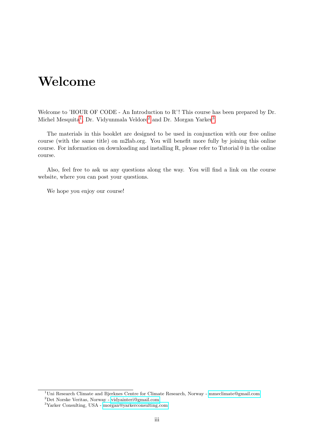# <span id="page-4-0"></span>Welcome

Welcome to 'HOUR OF CODE - An Introduction to R'! This course has been prepared by Dr. Michel Mesquita<sup>[1](#page-4-1)</sup>, Dr. Vidyunmala Veldore<sup>[2](#page-4-2)</sup> and Dr. Morgan Yarker<sup>[3](#page-4-3)</sup>.

The materials in this booklet are designed to be used in conjunction with our free online course (with the same title) on m2lab.org. You will benefit more fully by joining this online course. For information on downloading and installing R, please refer to Tutorial 0 in the online course.

Also, feel free to ask us any questions along the way. You will find a link on the course website, where you can post your questions.

We hope you enjoy our course!

<span id="page-4-2"></span><sup>2</sup>Det Norske Veritas, Norway - [vidyainteri@gmail.com](mailto:vidyainteri@gmail.com)

<span id="page-4-1"></span><sup>1</sup>Uni Research Climate and Bjerknes Centre for Climate Research, Norway - [mmeclimate@gmail.com](mailto:mmeclimate@gmail.com)

<span id="page-4-3"></span><sup>3</sup>Yarker Consulting, USA - [morgan@yarkerconsulting.com](mailto:morgan@yarkerconsulting.com)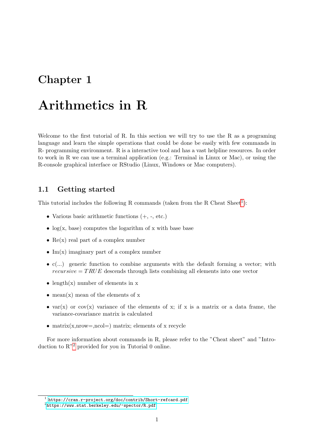# <span id="page-6-0"></span>Arithmetics in R

Welcome to the first tutorial of R. In this section we will try to use the R as a programing language and learn the simple operations that could be done be easily with few commands in R- programming environment. R is a interactive tool and has a vast helpline resources. In order to work in R we can use a terminal application (e.g.: Terminal in Linux or Mac), or using the R-console graphical interface or RStudio (Linux, Windows or Mac computers).

## <span id="page-6-1"></span>1.1 Getting started

This tutorial includes the following R commands (taken from the R Cheat  $Sheet<sup>1</sup>$  $Sheet<sup>1</sup>$  $Sheet<sup>1</sup>$ ):

- Various basic arithmetic functions (+, -, etc.)
- $log(x, base)$  computes the logarithm of x with base base
- $Re(x)$  real part of a complex number
- Im(x) imaginary part of a complex number
- $\bullet$  c(...) generic function to combine arguments with the default forming a vector; with  $recursive = TRUE$  descends through lists combining all elements into one vector
- length $(x)$  number of elements in x
- mean $(x)$  mean of the elements of x
- var(x) or cov(x) variance of the elements of x; if x is a matrix or a data frame, the variance-covariance matrix is calculated
- matrix(x,nrow=,ncol=) matrix; elements of x recycle

For more information about commands in R, please refer to the "Cheat sheet" and "Introduction to  $R^2$  $R^2$  provided for you in Tutorial 0 online.

<span id="page-6-2"></span><sup>1</sup> <https://cran.r-project.org/doc/contrib/Short-refcard.pdf>

<span id="page-6-3"></span> $^{2}$ <https://www.stat.berkeley.edu/~spector/R.pdf>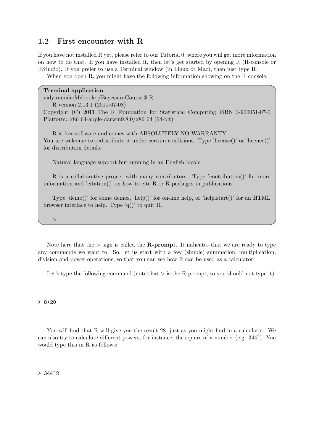## <span id="page-7-0"></span>1.2 First encounter with R

If you have not installed R yet, please refer to our Tutorial 0, where you will get more information on how to do that. If you have installed it, then let's get started by opening R (R-console or RStudio). If you prefer to use a Terminal window (in Linux or Mac), then just type R.

When you open R, you might have the following information showing on the R console:

Terminal application vidyunmala:Mcbook: /Bayesian-Course \$ R R version 2.13.1 (2011-07-08) Copyright (C) 2011 The R Foundation for Statistical Computing ISBN 3-900051-07-0 Platform: x86 64-apple-darwin9.8.0/x86 64 (64-bit) R is free software and comes with ABSOLUTELY NO WARRANTY. You are welcome to redistribute it under certain conditions. Type 'license()' or 'licence()' for distribution details.

Natural language support but running in an English locale

R is a collaborative project with many contributors. Type 'contributors()' for more information and 'citation()' on how to cite R or R packages in publications.

Type 'demo()' for some demos, 'help()' for on-line help, or 'help.start()' for an HTML browser interface to help. Type 'q()' to quit R.

Note here that the  $>$  sign is called the **R-prompt**. It indicates that we are ready to type any commands we want to. So, let us start with a few (simple) summation, multiplication, division and power operations, so that you can see how R can be used as a calculator.

Let's type the following command (note that  $>$  is the R-prompt, so you should not type it):

 $> 8+20$ 

 $>$ 

You will find that R will give you the result 28, just as you might find in a calculator. We can also try to calculate different powers, for instance, the square of a number (e.g. 344<sup>2</sup> ). You would type this in R as follows:

 $> 344^{\circ}2$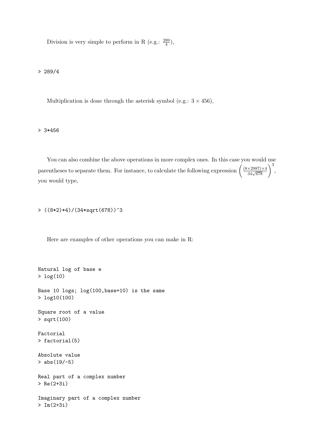Division is very simple to perform in R (e.g.:  $\frac{289}{4}$ ),

> 289/4

Multiplication is done through the asterisk symbol (e.g.:  $3 \times 456$ ),

> 3\*456

You can also combine the above operations in more complex ones. In this case you would use parentheses to separate them. For instance, to calculate the following expression  $\left(\frac{(8\times2987)\times4}{34\sqrt{678}}\right)^3$ , you would type,

> ((8\*2)\*4)/(34\*sqrt(678))^3

Here are examples of other operations you can make in R:

```
Natural log of base e
> log(10)
Base 10 logs; log(100,base=10) is the same
> log10(100)
Square root of a value
> sqrt(100)
Factorial
> factorial(5)
Absolute value
> abs (19/-5)Real part of a complex number
> Re(2+3i)
Imaginary part of a complex number
> Im(2+3i)
```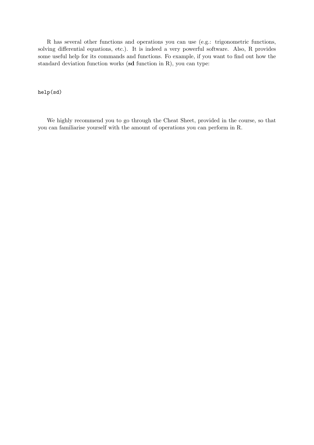R has several other functions and operations you can use (e.g.: trigonometric functions, solving differential equations, etc.). It is indeed a very powerful software. Also, R provides some useful help for its commands and functions. Fo example, if you want to find out how the standard deviation function works (sd function in R), you can type:

#### help(sd)

We highly recommend you to go through the Cheat Sheet, provided in the course, so that you can familiarise yourself with the amount of operations you can perform in R.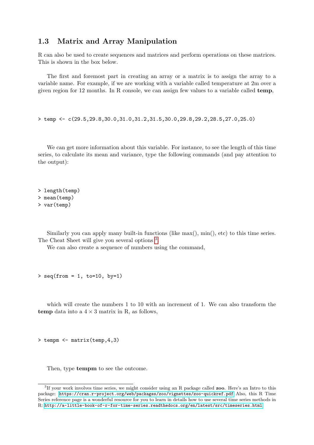## <span id="page-10-0"></span>1.3 Matrix and Array Manipulation

R can also be used to create sequences and matrices and perform operations on these matrices. This is shown in the box below.

The first and foremost part in creating an array or a matrix is to assign the array to a variable name. For example, if we are working with a variable called temperature at 2m over a given region for 12 months. In R console, we can assign few values to a variable called temp,

> temp <- c(29.5,29.8,30.0,31.0,31.2,31.5,30.0,29.8,29.2,28.5,27.0,25.0)

We can get more information about this variable. For instance, to see the length of this time series, to calculate its mean and variance, type the following commands (and pay attention to the output):

> length(temp) > mean(temp) > var(temp)

Similarly you can apply many built-in functions (like max(), min(), etc) to this time series. The Cheat Sheet will give you several options  $3$ .

We can also create a sequence of numbers using the command,

 $>$  seq(from = 1, to=10, by=1)

which will create the numbers 1 to 10 with an increment of 1. We can also transform the temp data into a  $4 \times 3$  matrix in R, as follows,

> tempm <- matrix(temp,4,3)

Then, type **tempm** to see the outcome.

<span id="page-10-1"></span><sup>&</sup>lt;sup>3</sup>If your work involves time series, we might consider using an R package called **zoo**. Here's an Intro to this package: <https://cran.r-project.org/web/packages/zoo/vignettes/zoo-quickref.pdf> Also, this R Time Series reference page is a wonderful resource for you to learn in details how to use several time series methods in R: <http://a-little-book-of-r-for-time-series.readthedocs.org/en/latest/src/timeseries.html>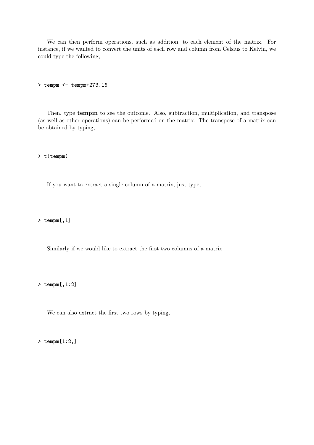We can then perform operations, such as addition, to each element of the matrix. For instance, if we wanted to convert the units of each row and column from Celsius to Kelvin, we could type the following,

> tempm <- tempm+273.16

Then, type tempm to see the outcome. Also, subtraction, multiplication, and transpose (as well as other operations) can be performed on the matrix. The transpose of a matrix can be obtained by typing,

> t(tempm)

If you want to extract a single column of a matrix, just type,

> tempm[,1]

Similarly if we would like to extract the first two columns of a matrix

> tempm[,1:2]

We can also extract the first two rows by typing,

> tempm[1:2,]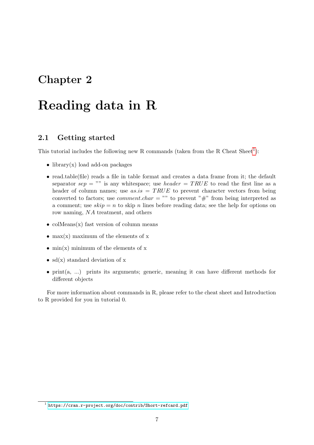# <span id="page-12-0"></span>Reading data in R

### <span id="page-12-1"></span>2.1 Getting started

This tutorial includes the following new R commands (taken from the R Cheat  $Sheet<sup>1</sup>$  $Sheet<sup>1</sup>$  $Sheet<sup>1</sup>$ ):

- library(x) load add-on packages
- read.table(file) reads a file in table format and creates a data frame from it; the default separator sep = "" is any whitespace; use *header* =  $TRUE$  to read the first line as a header of column names; use  $as.is = TRUE$  to prevent character vectors from being converted to factors; use *comment.char* = "" to prevent "#" from being interpreted as a comment; use  $skip = n$  to skip n lines before reading data; see the help for options on row naming, NA treatment, and others
- colMeans $(x)$  fast version of column means
- max $(x)$  maximum of the elements of x
- min(x) minimum of the elements of  $x$
- $sd(x)$  standard deviation of x
- print(a, ...) prints its arguments; generic, meaning it can have different methods for different objects

For more information about commands in R, please refer to the cheat sheet and Introduction to R provided for you in tutorial 0.

<span id="page-12-2"></span><sup>1</sup> <https://cran.r-project.org/doc/contrib/Short-refcard.pdf>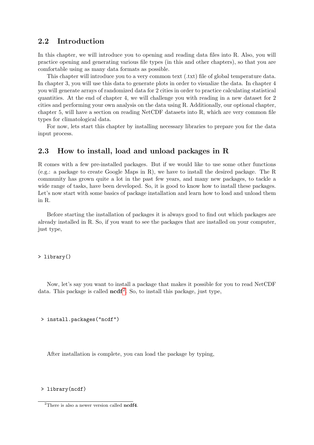### <span id="page-13-0"></span>2.2 Introduction

In this chapter, we will introduce you to opening and reading data files into R. Also, you will practice opening and generating various file types (in this and other chapters), so that you are comfortable using as many data formats as possible.

This chapter will introduce you to a very common text (.txt) file of global temperature data. In chapter 3, you will use this data to generate plots in order to visualize the data. In chapter 4 you will generate arrays of randomized data for 2 cities in order to practice calculating statistical quantities. At the end of chapter 4, we will challenge you with reading in a new dataset for 2 cities and performing your own analysis on the data using R. Additionally, our optional chapter, chapter 5, will have a section on reading NetCDF datasets into R, which are very common file types for climatological data.

For now, lets start this chapter by installing necessary libraries to prepare you for the data input process.

## <span id="page-13-1"></span>2.3 How to install, load and unload packages in R

R comes with a few pre-installed packages. But if we would like to use some other functions (e.g.: a package to create Google Maps in R), we have to install the desired package. The R community has grown quite a lot in the past few years, and many new packages, to tackle a wide range of tasks, have been developed. So, it is good to know how to install these packages. Let's now start with some basics of package installation and learn how to load and unload them in R.

Before starting the installation of packages it is always good to find out which packages are already installed in R. So, if you want to see the packages that are installed on your computer, just type,

> library()

Now, let's say you want to install a package that makes it possible for you to read NetCDF data. This package is called  $\text{ncdf}^2$  $\text{ncdf}^2$ . So, to install this package, just type,

> install.packages("ncdf")

After installation is complete, you can load the package by typing,

> library(ncdf)

<span id="page-13-2"></span><sup>&</sup>lt;sup>2</sup>There is also a newer version called  $\text{ncdf4}$ .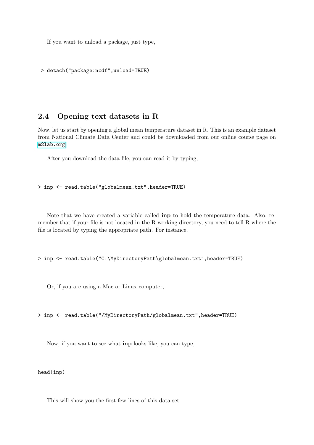If you want to unload a package, just type,

> detach("package:ncdf",unload=TRUE)

## <span id="page-14-0"></span>2.4 Opening text datasets in R

Now, let us start by opening a global mean temperature dataset in R. This is an example dataset from National Climate Data Center and could be downloaded from our online course page on <m2lab.org>

After you download the data file, you can read it by typing,

#### > inp <- read.table("globalmean.txt",header=TRUE)

Note that we have created a variable called inp to hold the temperature data. Also, remember that if your file is not located in the R working directory, you need to tell R where the file is located by typing the appropriate path. For instance,

> inp <- read.table("C:\MyDirectoryPath\globalmean.txt",header=TRUE)

Or, if you are using a Mac or Linux computer,

> inp <- read.table("/MyDirectoryPath/globalmean.txt",header=TRUE)

Now, if you want to see what inp looks like, you can type,

head(inp)

This will show you the first few lines of this data set.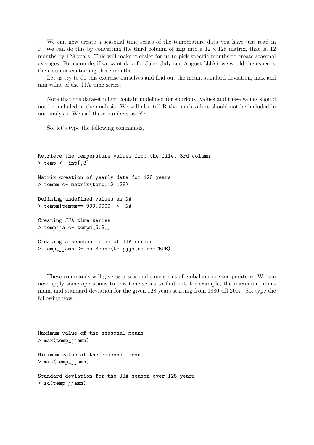We can now create a seasonal time series of the temperature data you have just read in R. We can do this by converting the third column of **inp** into a  $12 \times 128$  matrix, that is, 12 months by 128 years. This will make it easier for us to pick specific months to create seasonal averages. For example, if we want data for June, July and August (JJA), we would then specify the columns containing these months.

Let us try to do this exercise ourselves and find out the mean, standard deviation, max and min value of the JJA time series.

Note that the dataset might contain undefined (or spurious) values and these values should not be included in the analysis. We will also tell R that such values should not be included in our analysis. We call these numbers as NA.

So, let's type the following commands,

```
Retrieve the temperature values from the file, 3rd column
> temp <- inp[,3]
Matrix creation of yearly data for 128 years
> tempm <- matrix(temp,12,128)
Defining undefined values as NA
> tempm[tempm==-999.0000] <- NA
Creating JJA time series
> tempjja <- tempm[6:8,]
Creating a seasonal mean of JJA series
> temp_jjamn <- colMeans(tempjja,na.rm=TRUE)
```
These commands will give us a seasonal time series of global surface temperature. We can now apply some operations to this time series to find out, for example, the maximum, minimum, and standard deviation for the given 128 years starting from 1880 till 2007. So, type the following now,

Maximum value of the seasonal means > max(temp\_jjamn) Minimum value of the seasonal means > min(temp\_jjamn) Standard deviation for the JJA season over 128 years > sd(temp\_jjamn)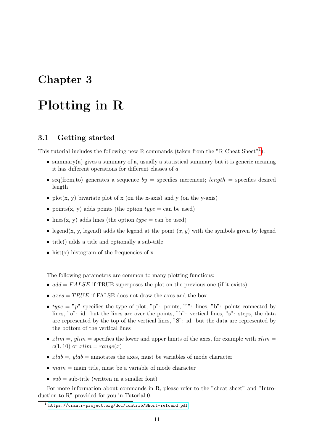# <span id="page-16-0"></span>Plotting in R

#### <span id="page-16-1"></span>3.1 Getting started

This tutorial includes the following new R commands (taken from the "R Cheat Sheet"<sup>[1](#page-16-2)</sup>):

- summary(a) gives a summary of a, usually a statistical summary but it is generic meaning it has different operations for different classes of a
- seq(from, to) generates a sequence  $by =$  specifies increment;  $length =$  specifies desired length
- plot(x, y) bivariate plot of x (on the x-axis) and y (on the y-axis)
- points(x, y) adds points (the option  $type = \text{can be used}$ )
- lines(x, y) adds lines (the option  $type = \text{can be used}$ )
- legend(x, y, legend) adds the legend at the point  $(x, y)$  with the symbols given by legend
- title() adds a title and optionally a sub-title
- hist $(x)$  histogram of the frequencies of x

The following parameters are common to many plotting functions:

- $add = FALSE$  if TRUE superposes the plot on the previous one (if it exists)
- $axes = TRUE$  if FALSE does not draw the axes and the box
- type = "p" specifies the type of plot, "p": points, "l": lines, "b": points connected by lines, "o": id. but the lines are over the points, "h": vertical lines, "s": steps, the data are represented by the top of the vertical lines, "S": id. but the data are represented by the bottom of the vertical lines
- $xlim =$ ,  $ulim$  = specifies the lower and upper limits of the axes, for example with  $xlim$  =  $c(1, 10)$  or  $xlim = range(x)$
- $xlab =$ ,  $ylab =$  annotates the axes, must be variables of mode character
- $main = main$  title, must be a variable of mode character
- $sub = sub-title$  (written in a smaller font)

For more information about commands in R, please refer to the "cheat sheet" and "Introduction to R" provided for you in Tutorial 0.

<span id="page-16-2"></span><sup>1</sup> <https://cran.r-project.org/doc/contrib/Short-refcard.pdf>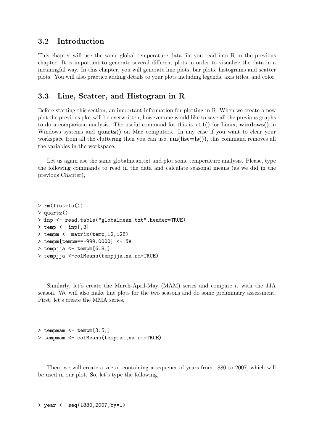#### <span id="page-17-0"></span>3.2 Introduction

This chapter will use the same global temperature data file you read into R in the previous chapter. It is important to generate several different plots in order to visualize the data in a meaningful way. In this chapter, you will generate line plots, bar plots, histograms and scatter plots. You will also practice adding details to your plots including legends, axis titles, and color.

#### <span id="page-17-1"></span>3.3 Line, Scatter, and Histogram in R

Before starting this section, an important information for plotting in R. When we create a new plot the previous plot will be overwritten, however one would like to save all the previous graphs to do a comparison analysis. The useful command for this is  $x11()$  for Linux, windows() in Windows systems and **quartz**() on Mac computers. In any case if you want to clear your workspace from all the cluttering then you can use,  $rm(list=ls())$ , this command removes all the variables in the workspace.

Let us again use the same globalmean.txt and plot some temperature analysis. Please, type the following commands to read in the data and calculate seasonal means (as we did in the previous Chapter),

```
> rm(list=ls())
> quartz()
> inp <- read.table("globalmean.txt",header=TRUE)
> temp <- inp[,3]
> tempm <- matrix(temp,12,128)
> tempm[tempm==-999.0000] <- NA
> tempjia <- tempm[6:8,]
> tempjja <-colMeans(tempjja,na.rm=TRUE)
```
Similarly, let's create the March-April-May (MAM) series and compare it with the JJA season. We will also make line plots for the two seasons and do some preliminary assessment. First, let's create the MMA series,

```
> tempmam <- tempm[3:5,]> tempmam <- colMeans(tempmam,na.rm=TRUE)
```
Then, we will create a vector containing a sequence of years from 1880 to 2007, which will be used in our plot. So, let's type the following,

```
> year <- seq(1880,2007,by=1)
```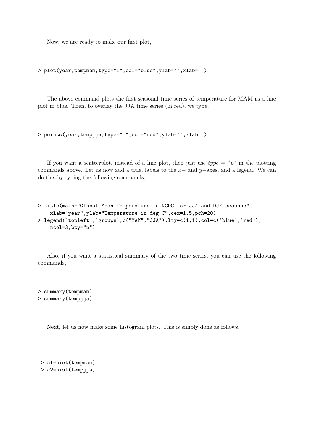Now, we are ready to make our first plot,

```
> plot(year,tempmam,type="l",col="blue",ylab="",xlab="")
```
The above command plots the first seasonal time series of temperature for MAM as a line plot in blue. Then, to overlay the JJA time series (in red), we type,

```
> points(year,tempjja,type="l",col="red",ylab="",xlab"")
```
If you want a scatterplot, instead of a line plot, then just use  $type = "p"$  in the plotting commands above. Let us now add a title, labels to the  $x-$  and  $y-$ axes, and a legend. We can do this by typing the following commands,

```
> title(main="Global Mean Temperature in NCDC for JJA and DJF seasons",
    xlab="year",ylab="Temperature in deg C",cex=1.5,pch=20)
> legend('topleft','groups',c("MAM","JJA"),lty=c(1,1),col=c('blue','red'),
   ncol=3,bty="n")
```
Also, if you want a statistical summary of the two time series, you can use the following commands,

> summary(tempmam) > summary(tempjja)

Next, let us now make some histogram plots. This is simply done as follows,

```
> c1=hist(tempmam)
```
> c2=hist(tempjja)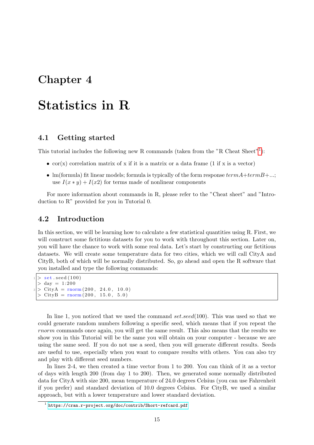# <span id="page-20-0"></span>Statistics in R

#### <span id="page-20-1"></span>4.1 Getting started

This tutorial includes the following new R commands (taken from the "R Cheat Sheet"<sup>[1](#page-20-3)</sup>):

- $\operatorname{cor}(x)$  correlation matrix of x if it is a matrix or a data frame (1 if x is a vector)
- Im(formula) fit linear models; formula is typically of the form response  $termA+termB+...$ ; use  $I(x * y) + I(x2)$  for terms made of nonlinear components

For more information about commands in R, please refer to the "Cheat sheet" and "Introduction to R" provided for you in Tutorial 0.

### <span id="page-20-2"></span>4.2 Introduction

In this section, we will be learning how to calculate a few statistical quantities using R. First, we will construct some fictitious datasets for you to work with throughout this section. Later on, you will have the chance to work with some real data. Let's start by constructing our fictitious datasets. We will create some temperature data for two cities, which we will call CityA and CityB, both of which will be normally distributed. So, go ahead and open the R software that you installed and type the following commands:

```
> set . seed (100)
> day = 1:200> \text{CityA} = \text{rnorm}(200, 24.0, 10.0)CityB = <math>norm(200, 15.0, 5.0)</math>
```
In line 1, you noticed that we used the command set.seed(100). This was used so that we could generate random numbers following a specific seed, which means that if you repeat the rnorm commands once again, you will get the same result. This also means that the results we show you in this Tutorial will be the same you will obtain on your computer - because we are using the same seed. If you do not use a seed, then you will generate different results. Seeds are useful to use, especially when you want to compare results with others. You can also try and play with different seed numbers.

In lines 2-4, we then created a time vector from 1 to 200. You can think of it as a vector of days with length 200 (from day 1 to 200). Then, we generated some normally distributed data for CityA with size 200, mean temperature of 24.0 degrees Celsius (you can use Fahrenheit if you prefer) and standard deviation of 10.0 degrees Celsius. For CityB, we used a similar approach, but with a lower temperature and lower standard deviation.

<span id="page-20-3"></span><sup>1</sup> <https://cran.r-project.org/doc/contrib/Short-refcard.pdf>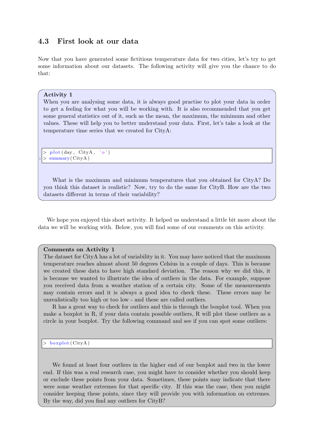## <span id="page-21-0"></span>4.3 First look at our data

Now that you have generated some fictitious temperature data for two cities, let's try to get some information about our datasets. The following activity will give you the chance to do that:

#### Activity 1

When you are analysing some data, it is always good practise to plot your data in order to get a feeling for what you will be working with. It is also recommended that you get some general statistics out of it, such as the mean, the maximum, the minimum and other values. These will help you to better understand your data. First, let's take a look at the temperature time series that we created for CityA:

 $> plot (day, City A, 'o')$  $>$  summary (CityA)

What is the maximum and minimum temperatures that you obtained for CityA? Do you think this dataset is realistic? Now, try to do the same for CityB. How are the two datasets different in terms of their variability?

We hope you enjoyed this short activity. It helped us understand a little bit more about the data we will be working with. Below, you will find some of our comments on this activity.

#### Comments on Activity 1

The dataset for CityA has a lot of variability in it. You may have noticed that the maximum temperature reaches almost about 50 degrees Celsius in a couple of days. This is because we created these data to have high standard deviation. The reason why we did this, it is because we wanted to illustrate the idea of outliers in the data. For example, suppose you received data from a weather station of a certain city. Some of the measurements may contain errors and it is always a good idea to check these. These errors may be unrealistically too high or too low - and these are called outliers.

R has a great way to check for outliers and this is through the boxplot tool. When you make a boxplot in R, if your data contain possible outliers, R will plot these outliers as a circle in your boxplot. Try the following command and see if you can spot some outliers:

boxplot (CityA)

We found at least four outliers in the higher end of our boxplot and two in the lower end. If this was a real research case, you might have to consider whether you should keep or exclude these points from your data. Sometimes, these points may indicate that there were some weather extremes for that specific city. If this was the case, then you might consider keeping these points, since they will provide you with information on extremes. By the way, did you find any outliers for CityB?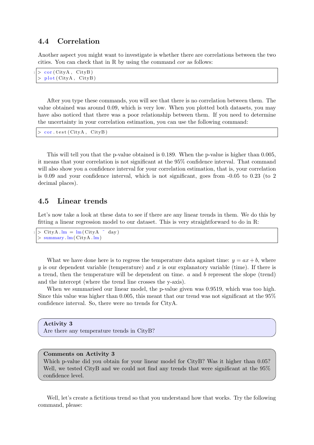#### <span id="page-22-0"></span>4.4 Correlation

Another aspect you might want to investigate is whether there are correlations between the two cities. You can check that in R by using the command cor as follows:

```
> cor ( CityA, CityB)
> plot (City A, City B)
```
After you type these commands, you will see that there is no correlation between them. The value obtained was around 0.09, which is very low. When you plotted both datasets, you may have also noticed that there was a poor relationship between them. If you need to determine the uncertainty in your correlation estimation, you can use the following command:

```
cor. test ( City A. City B)
```
This will tell you that the p-value obtained is 0.189. When the p-value is higher than 0.005, it means that your correlation is not significant at the 95% confidence interval. That command will also show you a confidence interval for your correlation estimation, that is, your correlation is 0.09 and your confidence interval, which is not significant, goes from -0.05 to 0.23 (to 2 decimal places).

#### <span id="page-22-1"></span>4.5 Linear trends

Let's now take a look at these data to see if there are any linear trends in them. We do this by fitting a linear regression model to our dataset. This is very straightforward to do in R:

```
> \text{CityA} \cdot \text{lm} = \text{lm}(\text{CityA} \text{ and } \text{day})summary . lm(CityA.lm)
```
What we have done here is to regress the temperature data against time:  $y = ax + b$ , where y is our dependent variable (temperature) and x is our explanatory variable (time). If there is a trend, then the temperature will be dependent on time. a and b represent the slope (trend) and the intercept (where the trend line crosses the y-axis).

When we summarised our linear model, the p-value given was 0.9519, which was too high. Since this value was higher than 0.005, this meant that our trend was not significant at the 95% confidence interval. So, there were no trends for CityA.

Activity 3 Are there any temperature trends in CityB?

#### Comments on Activity 3

Which p-value did you obtain for your linear model for CityB? Was it higher than  $0.05$ ? Well, we tested CityB and we could not find any trends that were significant at the 95% confidence level.

Well, let's create a fictitious trend so that you understand how that works. Try the following command, please: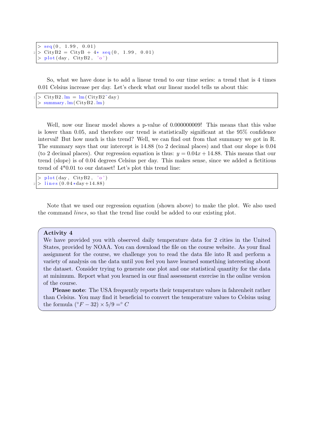```
seq (0, 1.99, 0.01)CityB2 = CityB + 4*seq(0, 1.99, 0.01)plot ( day, CityB2, 'o')
```
So, what we have done is to add a linear trend to our time series: a trend that is 4 times 0.01 Celsius increase per day. Let's check what our linear model tells us about this:

```
\frac{1}{\sqrt{1 + \frac{1}{\sqrt{1}}}} = lm(CityB2<sup>\sim</sup>day)
   summary . \text{Im}(\text{CityB2}. \text{lm})
```
Well, now our linear model shows a p-value of 0.000000009! This means that this value is lower than 0.05, and therefore our trend is statistically significant at the 95% confidence interval! But how much is this trend? Well, we can find out from that summary we got in R. The summary says that our intercept is 14.88 (to 2 decimal places) and that our slope is 0.04 (to 2 decimal places). Our regression equation is thus:  $y = 0.04x + 14.88$ . This means that our trend (slope) is of 0.04 degrees Celsius per day. This makes sense, since we added a fictitious trend of 4\*0.01 to our dataset! Let's plot this trend line:

```
plot ( day, CityB2, 'o')lines (0.04*day+14.88)
```
Note that we used our regression equation (shown above) to make the plot. We also used the command lines, so that the trend line could be added to our existing plot.

#### Activity 4

We have provided you with observed daily temperature data for 2 cities in the United States, provided by NOAA. You can download the file on the course website. As your final assignment for the course, we challenge you to read the data file into R and perform a variety of analysis on the data until you feel you have learned something interesting about the dataset. Consider trying to generate one plot and one statistical quantity for the data at minimum. Report what you learned in our final assessment exercise in the online version of the course.

Please note: The USA frequently reports their temperature values in fahrenheit rather than Celsius. You may find it beneficial to convert the temperature values to Celsius using the formula ( $\degree F - 32$ ) × 5/9 =  $\degree C$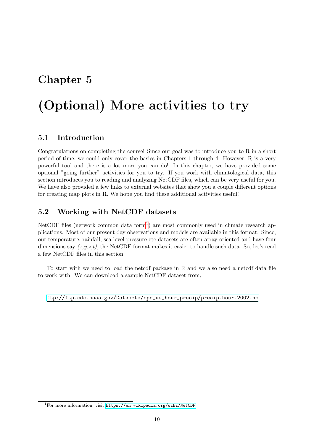# <span id="page-24-0"></span>(Optional) More activities to try

### <span id="page-24-1"></span>5.1 Introduction

Congratulations on completing the course! Since our goal was to introduce you to R in a short period of time, we could only cover the basics in Chapters 1 through 4. However, R is a very powerful tool and there is a lot more you can do! In this chapter, we have provided some optional "going further" activities for you to try. If you work with climatological data, this section introduces you to reading and analyzing NetCDF files, which can be very useful for you. We have also provided a few links to external websites that show you a couple different options for creating map plots in R. We hope you find these additional activities useful!

## <span id="page-24-2"></span>5.2 Working with NetCDF datasets

NetCDF files (network common data form<sup>[1](#page-24-3)</sup>) are most commonly used in climate research applications. Most of our present day observations and models are available in this format. Since, our temperature, rainfall, sea level pressure etc datasets are often array-oriented and have four dimensions say  $(x,y,z,t)$ , the NetCDF format makes it easier to handle such data. So, let's read a few NetCDF files in this section.

To start with we need to load the netcdf package in R and we also need a netcdf data file to work with. We can download a sample NetCDF dataset from,

[ftp://ftp.cdc.noaa.gov/Datasets/cpc\\_us\\_hour\\_precip/precip.hour.2002.nc](ftp://ftp.cdc.noaa.gov/Datasets/cpc_us_hour_precip/precip.hour.2002.nc)

<span id="page-24-3"></span> $1$ For more information, visit <https://en.wikipedia.org/wiki/NetCDF>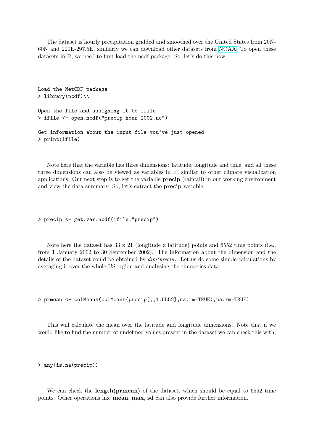The dataset is hourly precipitation gridded and smoothed over the United States from 20N-60N and 220E-297.5E, similarly we can download other datasets from [NOAA.](http://www.esrl.noaa.gov/psd/data/gridded/) To open these datasets in R, we need to first load the ncdf package. So, let's do this now,

```
Load the NetCDF package
> library(ncdf)\\
Open the file and assigning it to ifile
> ifile <- open.ncdf("precip.hour.2002.nc")
Get information about the input file you've just opened
> print(ifile)
```
Note here that the variable has three dimensions: latitude, longitude and time, and all these three dimensions can also be viewed as variables in R, similar to other climate visualization applications. Our next step is to get the variable precip (rainfall) in our working environment and view the data summary. So, let's extract the precip variable,

> precip <- get.var.ncdf(ifile,"precip")

Note here the dataset has 33 x 21 (longitude x latitude) points and 6552 time points (i.e., from 1 January 2002 to 30 September 2002). The information about the dimension and the details of the dataset could be obtained by  $dim(precip)$ . Let us do some simple calculations by averaging it over the whole US region and analysing the timeseries data.

> prmean <- colMeans(colMeans(precip[,,1:6552],na.rm=TRUE),na.rm=TRUE)

This will calculate the mean over the latitude and longitude dimensions. Note that if we would like to find the number of undefined values present in the dataset we can check this with,

> any(is.na(precip))

We can check the **length(prmean)** of the dataset, which should be equal to 6552 time points. Other operations like mean, max, sd can also provide further information.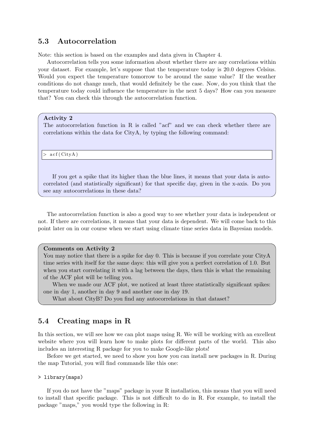### <span id="page-26-0"></span>5.3 Autocorrelation

Note: this section is based on the examples and data given in Chapter 4.

Autocorrelation tells you some information about whether there are any correlations within your dataset. For example, let's suppose that the temperature today is 20.0 degrees Celsius. Would you expect the temperature tomorrow to be around the same value? If the weather conditions do not change much, that would definitely be the case. Now, do you think that the temperature today could influence the temperature in the next 5 days? How can you measure that? You can check this through the autocorrelation function.

#### Activity 2

The autocorrelation function in R is called "acf" and we can check whether there are correlations within the data for CityA, by typing the following command:

 $\operatorname{acf}$  ( CityA)

If you get a spike that its higher than the blue lines, it means that your data is autocorrelated (and statistically significant) for that specific day, given in the x-axis. Do you see any autocorrelations in these data?

The autocorrelation function is also a good way to see whether your data is independent or not. If there are correlations, it means that your data is dependent. We will come back to this point later on in our course when we start using climate time series data in Bayesian models.

#### Comments on Activity 2

You may notice that there is a spike for day 0. This is because if you correlate your CityA time series with itself for the same days: this will give you a perfect correlation of 1.0. But when you start correlating it with a lag between the days, then this is what the remaining of the ACF plot will be telling you.

When we made our ACF plot, we noticed at least three statistically significant spikes: one in day 1, another in day 9 and another one in day 19.

What about CityB? Do you find any autocorrelations in that dataset?

#### <span id="page-26-1"></span>5.4 Creating maps in R

In this section, we will see how we can plot maps using R. We will be working with an excellent website where you will learn how to make plots for different parts of the world. This also includes an interesting R package for you to make Google-like plots!

Before we get started, we need to show you how you can install new packages in R. During the map Tutorial, you will find commands like this one:

#### > library(maps)

If you do not have the "maps" package in your R installation, this means that you will need to install that specific package. This is not difficult to do in R. For example, to install the package "maps," you would type the following in R: